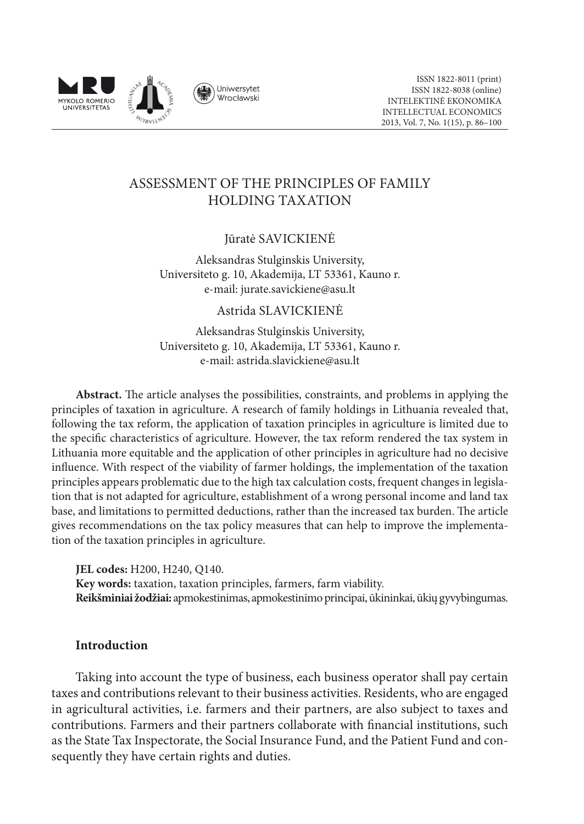

# ASSESSMENT OF THE PRINCIPLES OF FAMILY HOLDING TAXATION

# Jūratė Savickienė

Aleksandras Stulginskis University, Universiteto g. 10, Akademija, LT 53361, Kauno r. e-mail: jurate.savickiene@asu.lt

#### Astrida Slavickienė

Aleksandras Stulginskis University, Universiteto g. 10, Akademija, LT 53361, Kauno r. e-mail: astrida.slavickiene@asu.lt

**Abstract.** The article analyses the possibilities, constraints, and problems in applying the principles of taxation in agriculture. A research of family holdings in Lithuania revealed that, following the tax reform, the application of taxation principles in agriculture is limited due to the specific characteristics of agriculture. However, the tax reform rendered the tax system in Lithuania more equitable and the application of other principles in agriculture had no decisive influence. With respect of the viability of farmer holdings, the implementation of the taxation principles appears problematic due to the high tax calculation costs, frequent changes in legislation that is not adapted for agriculture, establishment of a wrong personal income and land tax base, and limitations to permitted deductions, rather than the increased tax burden. The article gives recommendations on the tax policy measures that can help to improve the implementation of the taxation principles in agriculture.

**JEL codes:** H200, H240, Q140. **Key words:** taxation, taxation principles, farmers, farm viability. **Reikšminiai žodžiai:** apmokestinimas, apmokestinimo principai, ūkininkai, ūkių gyvybingumas.

### **Introduction**

Taking into account the type of business, each business operator shall pay certain taxes and contributions relevant to their business activities. Residents, who are engaged in agricultural activities, i.e. farmers and their partners, are also subject to taxes and contributions. Farmers and their partners collaborate with financial institutions, such as the State Tax Inspectorate, the Social Insurance Fund, and the Patient Fund and consequently they have certain rights and duties.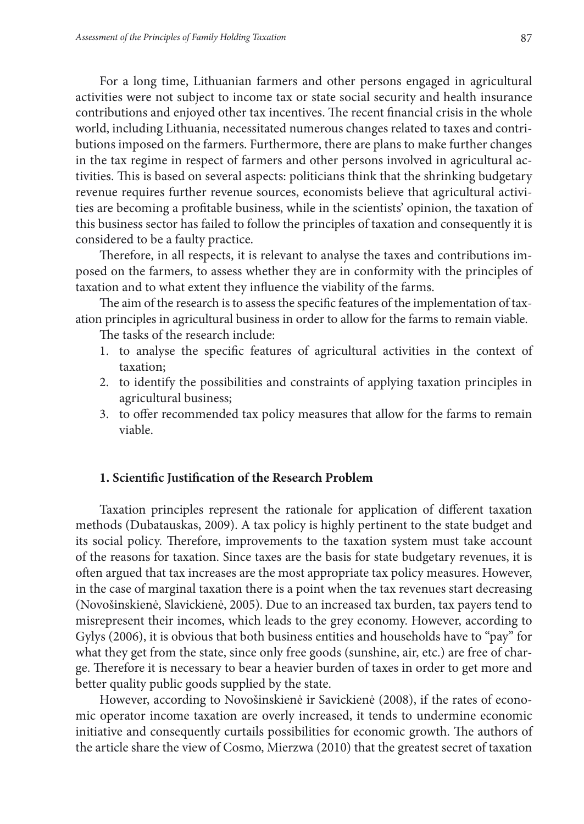For a long time, Lithuanian farmers and other persons engaged in agricultural activities were not subject to income tax or state social security and health insurance contributions and enjoyed other tax incentives. The recent financial crisis in the whole world, including Lithuania, necessitated numerous changes related to taxes and contributions imposed on the farmers. Furthermore, there are plans to make further changes in the tax regime in respect of farmers and other persons involved in agricultural activities. This is based on several aspects: politicians think that the shrinking budgetary revenue requires further revenue sources, economists believe that agricultural activities are becoming a profitable business, while in the scientists' opinion, the taxation of this business sector has failed to follow the principles of taxation and consequently it is considered to be a faulty practice.

Therefore, in all respects, it is relevant to analyse the taxes and contributions imposed on the farmers, to assess whether they are in conformity with the principles of taxation and to what extent they influence the viability of the farms.

The aim of the research is to assess the specific features of the implementation of taxation principles in agricultural business in order to allow for the farms to remain viable.

The tasks of the research include:

- 1. to analyse the specific features of agricultural activities in the context of taxation;
- 2. to identify the possibilities and constraints of applying taxation principles in agricultural business;
- 3. to offer recommended tax policy measures that allow for the farms to remain viable.

#### **1. Scientific Justification of the Research Problem**

Taxation principles represent the rationale for application of different taxation methods (Dubatauskas, 2009). A tax policy is highly pertinent to the state budget and its social policy. Therefore, improvements to the taxation system must take account of the reasons for taxation. Since taxes are the basis for state budgetary revenues, it is often argued that tax increases are the most appropriate tax policy measures. However, in the case of marginal taxation there is a point when the tax revenues start decreasing (Novošinskienė, Slavickienė, 2005). Due to an increased tax burden, tax payers tend to misrepresent their incomes, which leads to the grey economy. However, according to Gylys (2006), it is obvious that both business entities and households have to "pay" for what they get from the state, since only free goods (sunshine, air, etc.) are free of charge. Therefore it is necessary to bear a heavier burden of taxes in order to get more and better quality public goods supplied by the state.

However, according to Novošinskienė ir Savickienė (2008), if the rates of economic operator income taxation are overly increased, it tends to undermine economic initiative and consequently curtails possibilities for economic growth. The authors of the article share the view of Cosmo, Mierzwa (2010) that the greatest secret of taxation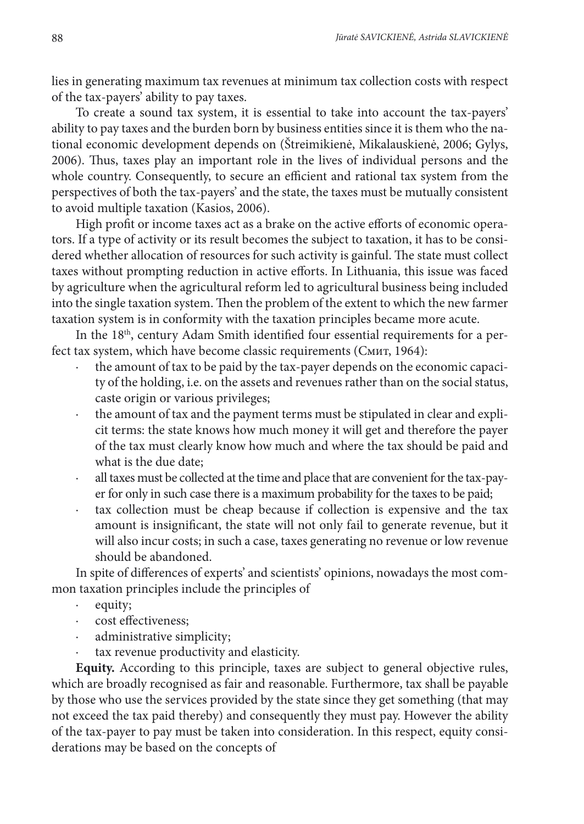lies in generating maximum tax revenues at minimum tax collection costs with respect of the tax-payers' ability to pay taxes.

To create a sound tax system, it is essential to take into account the tax-payers' ability to pay taxes and the burden born by business entities since it is them who the national economic development depends on (Štreimikienė, Mikalauskienė, 2006; Gylys, 2006). Thus, taxes play an important role in the lives of individual persons and the whole country. Consequently, to secure an efficient and rational tax system from the perspectives of both the tax-payers' and the state, the taxes must be mutually consistent to avoid multiple taxation (Kasios, 2006).

High profit or income taxes act as a brake on the active efforts of economic operators. If a type of activity or its result becomes the subject to taxation, it has to be considered whether allocation of resources for such activity is gainful. The state must collect taxes without prompting reduction in active efforts. In Lithuania, this issue was faced by agriculture when the agricultural reform led to agricultural business being included into the single taxation system. Then the problem of the extent to which the new farmer taxation system is in conformity with the taxation principles became more acute.

In the 18<sup>th</sup>, century Adam Smith identified four essential requirements for a perfect tax system, which have become classic requirements (Cмит, 1964):

- the amount of tax to be paid by the tax-payer depends on the economic capacity of the holding, i.e. on the assets and revenues rather than on the social status, caste origin or various privileges;
- · the amount of tax and the payment terms must be stipulated in clear and explicit terms: the state knows how much money it will get and therefore the payer of the tax must clearly know how much and where the tax should be paid and what is the due date;
- all taxes must be collected at the time and place that are convenient for the tax-payer for only in such case there is a maximum probability for the taxes to be paid;
- tax collection must be cheap because if collection is expensive and the tax amount is insignificant, the state will not only fail to generate revenue, but it will also incur costs; in such a case, taxes generating no revenue or low revenue should be abandoned.

In spite of differences of experts' and scientists' opinions, nowadays the most common taxation principles include the principles of

- equity;
- · cost effectiveness;
- administrative simplicity;
- tax revenue productivity and elasticity.

**Equity.** According to this principle, taxes are subject to general objective rules, which are broadly recognised as fair and reasonable. Furthermore, tax shall be payable by those who use the services provided by the state since they get something (that may not exceed the tax paid thereby) and consequently they must pay. However the ability of the tax-payer to pay must be taken into consideration. In this respect, equity considerations may be based on the concepts of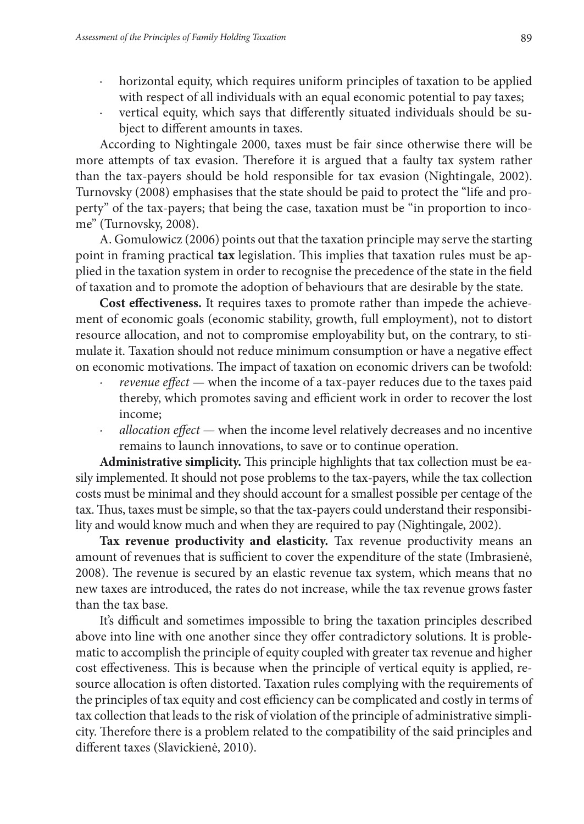- horizontal equity, which requires uniform principles of taxation to be applied with respect of all individuals with an equal economic potential to pay taxes;
- · vertical equity, which says that differently situated individuals should be subject to different amounts in taxes.

According to Nightingale 2000, taxes must be fair since otherwise there will be more attempts of tax evasion. Therefore it is argued that a faulty tax system rather than the tax-payers should be hold responsible for tax evasion (Nightingale, 2002). Turnovsky (2008) emphasises that the state should be paid to protect the "life and property" of the tax-payers; that being the case, taxation must be "in proportion to income" (Turnovsky, 2008).

A. Gomulowicz (2006) points out that the taxation principle may serve the starting point in framing practical **tax** legislation. This implies that taxation rules must be applied in the taxation system in order to recognise the precedence of the state in the field of taxation and to promote the adoption of behaviours that are desirable by the state.

**Cost effectiveness.** It requires taxes to promote rather than impede the achievement of economic goals (economic stability, growth, full employment), not to distort resource allocation, and not to compromise employability but, on the contrary, to stimulate it. Taxation should not reduce minimum consumption or have a negative effect on economic motivations. The impact of taxation on economic drivers can be twofold:

- *revenue effect* when the income of a tax-payer reduces due to the taxes paid thereby, which promotes saving and efficient work in order to recover the lost income;
- *· allocation effect* when the income level relatively decreases and no incentive remains to launch innovations, to save or to continue operation.

**Administrative simplicity.** This principle highlights that tax collection must be easily implemented. It should not pose problems to the tax-payers, while the tax collection costs must be minimal and they should account for a smallest possible per centage of the tax. Thus, taxes must be simple, so that the tax-payers could understand their responsibility and would know much and when they are required to pay (Nightingale, 2002).

**Tax revenue productivity and elasticity.** Tax revenue productivity means an amount of revenues that is sufficient to cover the expenditure of the state (Imbrasienė, 2008). The revenue is secured by an elastic revenue tax system, which means that no new taxes are introduced, the rates do not increase, while the tax revenue grows faster than the tax base.

It's difficult and sometimes impossible to bring the taxation principles described above into line with one another since they offer contradictory solutions. It is problematic to accomplish the principle of equity coupled with greater tax revenue and higher cost effectiveness. This is because when the principle of vertical equity is applied, resource allocation is often distorted. Taxation rules complying with the requirements of the principles of tax equity and cost efficiency can be complicated and costly in terms of tax collection that leads to the risk of violation of the principle of administrative simplicity. Therefore there is a problem related to the compatibility of the said principles and different taxes (Slavickienė, 2010).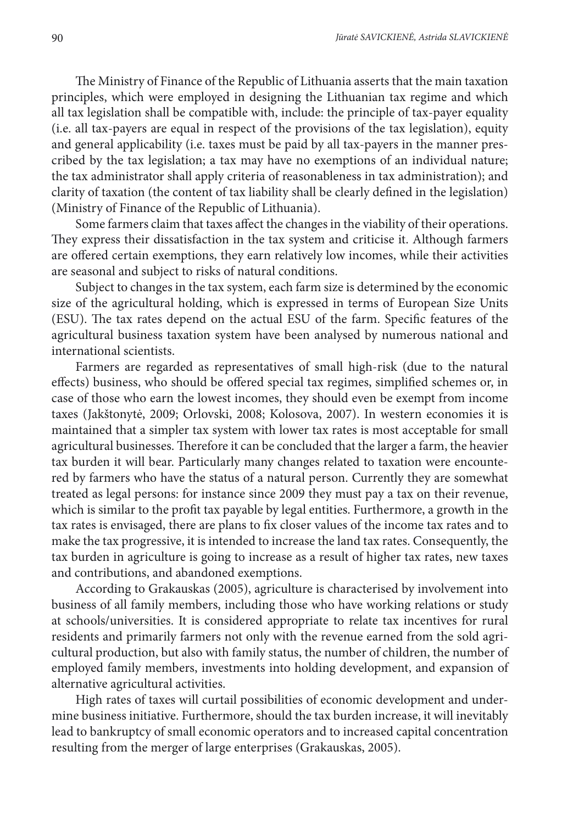The Ministry of Finance of the Republic of Lithuania asserts that the main taxation principles, which were employed in designing the Lithuanian tax regime and which all tax legislation shall be compatible with, include: the principle of tax-payer equality (i.e. all tax-payers are equal in respect of the provisions of the tax legislation), equity and general applicability (i.e. taxes must be paid by all tax-payers in the manner prescribed by the tax legislation; a tax may have no exemptions of an individual nature; the tax administrator shall apply criteria of reasonableness in tax administration); and clarity of taxation (the content of tax liability shall be clearly defined in the legislation) (Ministry of Finance of the Republic of Lithuania).

Some farmers claim that taxes affect the changes in the viability of their operations. They express their dissatisfaction in the tax system and criticise it. Although farmers are offered certain exemptions, they earn relatively low incomes, while their activities are seasonal and subject to risks of natural conditions.

Subject to changes in the tax system, each farm size is determined by the economic size of the agricultural holding, which is expressed in terms of European Size Units (ESU). The tax rates depend on the actual ESU of the farm. Specific features of the agricultural business taxation system have been analysed by numerous national and international scientists.

Farmers are regarded as representatives of small high-risk (due to the natural effects) business, who should be offered special tax regimes, simplified schemes or, in case of those who earn the lowest incomes, they should even be exempt from income taxes (Jakštonytė, 2009; Orlovski, 2008; Kolosova, 2007). In western economies it is maintained that a simpler tax system with lower tax rates is most acceptable for small agricultural businesses. Therefore it can be concluded that the larger a farm, the heavier tax burden it will bear. Particularly many changes related to taxation were encountered by farmers who have the status of a natural person. Currently they are somewhat treated as legal persons: for instance since 2009 they must pay a tax on their revenue, which is similar to the profit tax payable by legal entities. Furthermore, a growth in the tax rates is envisaged, there are plans to fix closer values of the income tax rates and to make the tax progressive, it is intended to increase the land tax rates. Consequently, the tax burden in agriculture is going to increase as a result of higher tax rates, new taxes and contributions, and abandoned exemptions.

According to Grakauskas (2005), agriculture is characterised by involvement into business of all family members, including those who have working relations or study at schools/universities. It is considered appropriate to relate tax incentives for rural residents and primarily farmers not only with the revenue earned from the sold agricultural production, but also with family status, the number of children, the number of employed family members, investments into holding development, and expansion of alternative agricultural activities.

High rates of taxes will curtail possibilities of economic development and undermine business initiative. Furthermore, should the tax burden increase, it will inevitably lead to bankruptcy of small economic operators and to increased capital concentration resulting from the merger of large enterprises (Grakauskas, 2005).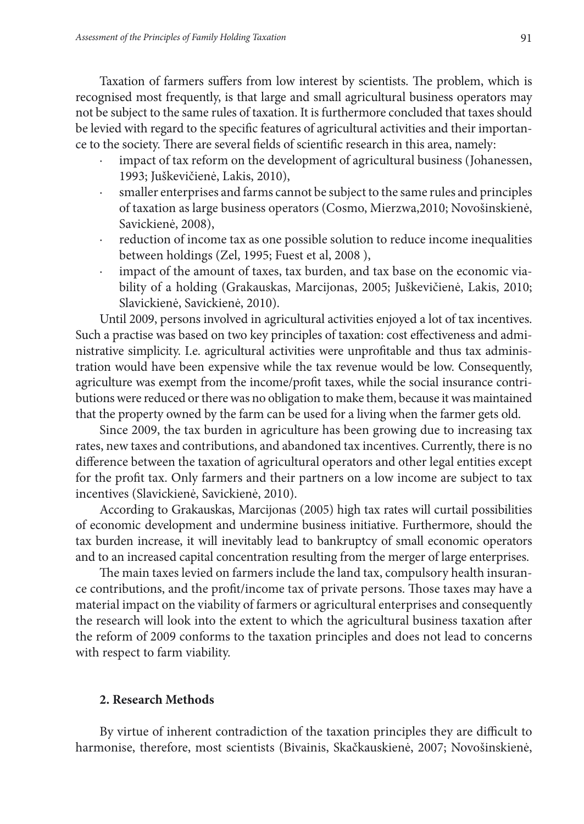Taxation of farmers suffers from low interest by scientists. The problem, which is recognised most frequently, is that large and small agricultural business operators may not be subject to the same rules of taxation. It is furthermore concluded that taxes should be levied with regard to the specific features of agricultural activities and their importance to the society. There are several fields of scientific research in this area, namely:

- impact of tax reform on the development of agricultural business (Johanessen, 1993; Juškevičienė, Lakis, 2010),
- smaller enterprises and farms cannot be subject to the same rules and principles of taxation as large business operators (Cosmo, Mierzwa,2010; Novošinskienė, Savickienė, 2008),
- reduction of income tax as one possible solution to reduce income inequalities between holdings (Zel, 1995; Fuest et al, 2008 ),
- impact of the amount of taxes, tax burden, and tax base on the economic viability of a holding (Grakauskas, Marcijonas, 2005; Juškevičienė, Lakis, 2010; Slavickienė, Savickienė, 2010).

Until 2009, persons involved in agricultural activities enjoyed a lot of tax incentives. Such a practise was based on two key principles of taxation: cost effectiveness and administrative simplicity. I.e. agricultural activities were unprofitable and thus tax administration would have been expensive while the tax revenue would be low. Consequently, agriculture was exempt from the income/profit taxes, while the social insurance contributions were reduced or there was no obligation to make them, because it was maintained that the property owned by the farm can be used for a living when the farmer gets old.

Since 2009, the tax burden in agriculture has been growing due to increasing tax rates, new taxes and contributions, and abandoned tax incentives. Currently, there is no difference between the taxation of agricultural operators and other legal entities except for the profit tax. Only farmers and their partners on a low income are subject to tax incentives (Slavickienė, Savickienė, 2010).

According to Grakauskas, Marcijonas (2005) high tax rates will curtail possibilities of economic development and undermine business initiative. Furthermore, should the tax burden increase, it will inevitably lead to bankruptcy of small economic operators and to an increased capital concentration resulting from the merger of large enterprises.

The main taxes levied on farmers include the land tax, compulsory health insurance contributions, and the profit/income tax of private persons. Those taxes may have a material impact on the viability of farmers or agricultural enterprises and consequently the research will look into the extent to which the agricultural business taxation after the reform of 2009 conforms to the taxation principles and does not lead to concerns with respect to farm viability.

### **2. Research Methods**

By virtue of inherent contradiction of the taxation principles they are difficult to harmonise, therefore, most scientists (Bivainis, Skačkauskienė, 2007; Novošinskienė,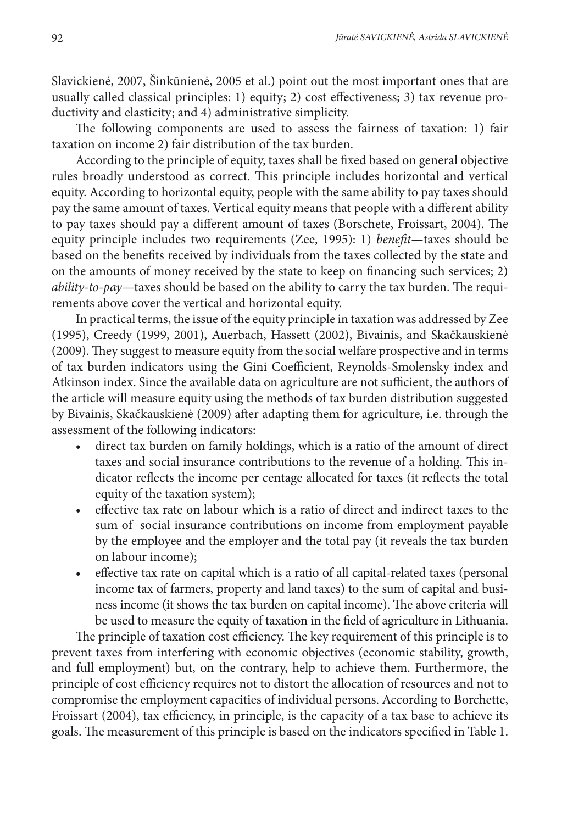Slavickienė, 2007, Šinkūnienė, 2005 et al.) point out the most important ones that are usually called classical principles: 1) equity; 2) cost effectiveness; 3) tax revenue productivity and elasticity; and 4) administrative simplicity.

The following components are used to assess the fairness of taxation: 1) fair taxation on income 2) fair distribution of the tax burden.

According to the principle of equity, taxes shall be fixed based on general objective rules broadly understood as correct. This principle includes horizontal and vertical equity. According to horizontal equity, people with the same ability to pay taxes should pay the same amount of taxes. Vertical equity means that people with a different ability to pay taxes should pay a different amount of taxes (Borschete, Froissart, 2004). The equity principle includes two requirements (Zee, 1995): 1) *benefit*—taxes should be based on the benefits received by individuals from the taxes collected by the state and on the amounts of money received by the state to keep on financing such services; 2) *ability-to-pay*—taxes should be based on the ability to carry the tax burden. The requirements above cover the vertical and horizontal equity.

In practical terms, the issue of the equity principle in taxation was addressed by Zee (1995), Creedy (1999, 2001), Auerbach, Hassett (2002), Bivainis, and Skačkauskienė (2009). They suggest to measure equity from the social welfare prospective and in terms of tax burden indicators using the Gini Coefficient, Reynolds-Smolensky index and Atkinson index. Since the available data on agriculture are not sufficient, the authors of the article will measure equity using the methods of tax burden distribution suggested by Bivainis, Skačkauskienė (2009) after adapting them for agriculture, i.e. through the assessment of the following indicators:

- direct tax burden on family holdings, which is a ratio of the amount of direct taxes and social insurance contributions to the revenue of a holding. This indicator reflects the income per centage allocated for taxes (it reflects the total equity of the taxation system);
- effective tax rate on labour which is a ratio of direct and indirect taxes to the sum of social insurance contributions on income from employment payable by the employee and the employer and the total pay (it reveals the tax burden on labour income);
- effective tax rate on capital which is a ratio of all capital-related taxes (personal income tax of farmers, property and land taxes) to the sum of capital and business income (it shows the tax burden on capital income). The above criteria will be used to measure the equity of taxation in the field of agriculture in Lithuania.

The principle of taxation cost efficiency. The key requirement of this principle is to prevent taxes from interfering with economic objectives (economic stability, growth, and full employment) but, on the contrary, help to achieve them. Furthermore, the principle of cost efficiency requires not to distort the allocation of resources and not to compromise the employment capacities of individual persons. According to Borchette, Froissart (2004), tax efficiency, in principle, is the capacity of a tax base to achieve its goals. The measurement of this principle is based on the indicators specified in Table 1.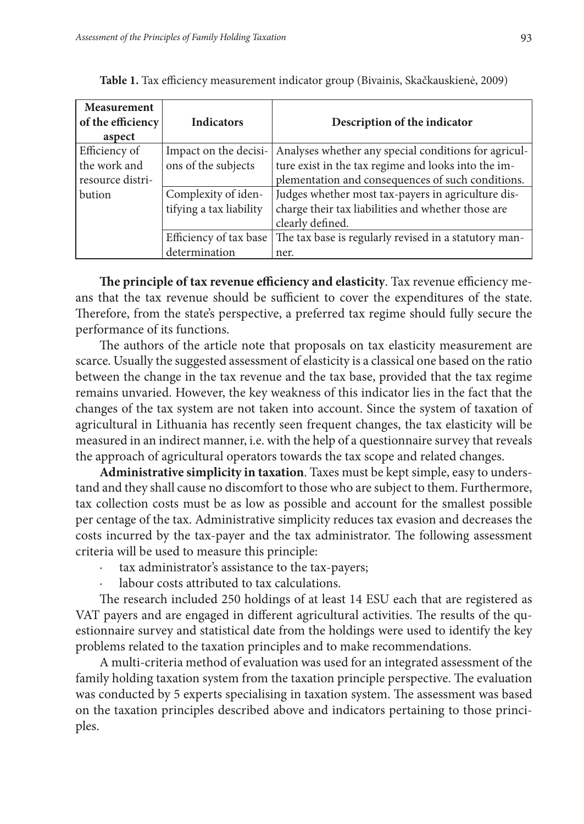| Measurement<br>of the efficiency<br>aspect | <b>Indicators</b>       | Description of the indicator                          |
|--------------------------------------------|-------------------------|-------------------------------------------------------|
| Efficiency of                              | Impact on the decisi-   | Analyses whether any special conditions for agricul-  |
| the work and                               | ons of the subjects     | ture exist in the tax regime and looks into the im-   |
| resource distri-                           |                         | plementation and consequences of such conditions.     |
| bution                                     | Complexity of iden-     | Judges whether most tax-payers in agriculture dis-    |
|                                            | tifying a tax liability | charge their tax liabilities and whether those are    |
|                                            |                         | clearly defined.                                      |
|                                            | Efficiency of tax base  | The tax base is regularly revised in a statutory man- |
|                                            | determination           | ner.                                                  |

**Table 1.** Tax efficiency measurement indicator group (Bivainis, Skačkauskienė, 2009)

**The principle of tax revenue efficiency and elasticity**. Tax revenue efficiency means that the tax revenue should be sufficient to cover the expenditures of the state. Therefore, from the state's perspective, a preferred tax regime should fully secure the performance of its functions.

The authors of the article note that proposals on tax elasticity measurement are scarce. Usually the suggested assessment of elasticity is a classical one based on the ratio between the change in the tax revenue and the tax base, provided that the tax regime remains unvaried. However, the key weakness of this indicator lies in the fact that the changes of the tax system are not taken into account. Since the system of taxation of agricultural in Lithuania has recently seen frequent changes, the tax elasticity will be measured in an indirect manner, i.e. with the help of a questionnaire survey that reveals the approach of agricultural operators towards the tax scope and related changes.

**Administrative simplicity in taxation**. Taxes must be kept simple, easy to understand and they shall cause no discomfort to those who are subject to them. Furthermore, tax collection costs must be as low as possible and account for the smallest possible per centage of the tax. Administrative simplicity reduces tax evasion and decreases the costs incurred by the tax-payer and the tax administrator. The following assessment criteria will be used to measure this principle:

- tax administrator's assistance to the tax-payers;
- labour costs attributed to tax calculations.

The research included 250 holdings of at least 14 ESU each that are registered as VAT payers and are engaged in different agricultural activities. The results of the questionnaire survey and statistical date from the holdings were used to identify the key problems related to the taxation principles and to make recommendations.

A multi-criteria method of evaluation was used for an integrated assessment of the family holding taxation system from the taxation principle perspective. The evaluation was conducted by 5 experts specialising in taxation system. The assessment was based on the taxation principles described above and indicators pertaining to those principles.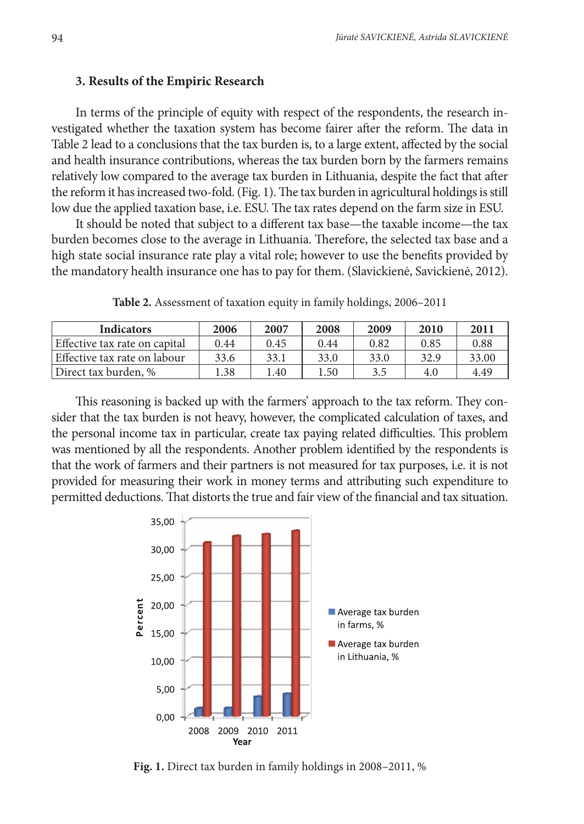#### **3. Results of the Empiric Research**

In terms of the principle of equity with respect of the respondents, the research investigated whether the taxation system has become fairer after the reform. The data in Table 2 lead to a conclusions that the tax burden is, to a large extent, affected by the social and health insurance contributions, whereas the tax burden born by the farmers remains relatively low compared to the average tax burden in Lithuania, despite the fact that after the reform it has increased two-fold. (Fig. 1). The tax burden in agricultural holdings is still low due the applied taxation base, i.e. ESU. The tax rates depend on the farm size in ESU.

It should be noted that subject to a different tax base—the taxable income—the tax burden becomes close to the average in Lithuania. Therefore, the selected tax base and a high state social insurance rate play a vital role; however to use the benefits provided by the mandatory health insurance one has to pay for them. (Slavickienė, Savickienė, 2012).

| <b>Indicators</b>             | 2006 | 2007 | 2008 | 2009 | 2010 | 2011  |
|-------------------------------|------|------|------|------|------|-------|
| Effective tax rate on capital | 0.44 | 0.45 | 0.44 | 0.82 | 0.85 | 0.88  |
| Effective tax rate on labour  | 33.6 | 33.1 | 33.0 | 33.0 | 32.9 | 33.00 |
| Direct tax burden. %          | .38  | 1.40 | 1.50 | 3.5  | 4.0  | 4.49  |

**Table 2.** Assessment of taxation equity in family holdings, 2006–2011

This reasoning is backed up with the farmers' approach to the tax reform. They consider that the tax burden is not heavy, however, the complicated calculation of taxes, and the personal income tax in particular, create tax paying related difficulties. This problem was mentioned by all the respondents. Another problem identified by the respondents is that the work of farmers and their partners is not measured for tax purposes, i.e. it is not provided for measuring their work in money terms and attributing such expenditure to permitted deductions. That distorts the true and fair view of the financial and tax situation.



**Fig. 1.** Direct tax burden in family holdings in 2008–2011, %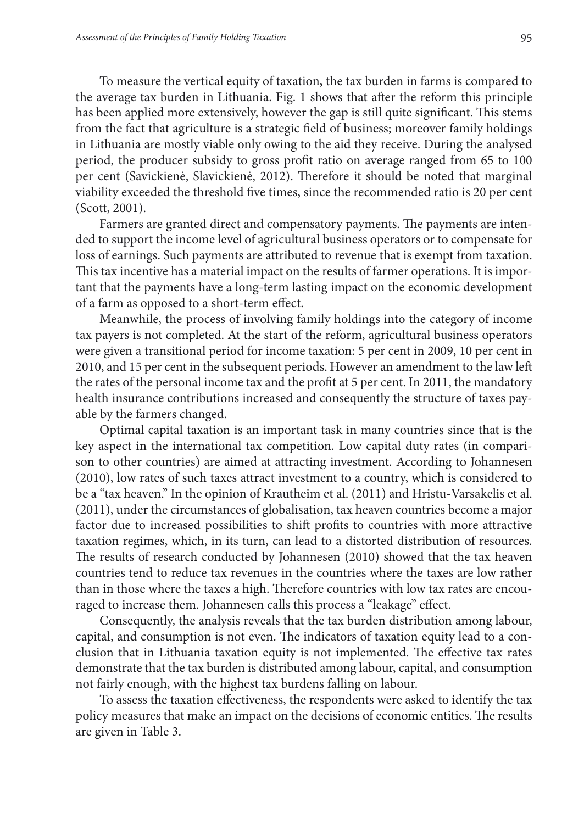To measure the vertical equity of taxation, the tax burden in farms is compared to the average tax burden in Lithuania. Fig. 1 shows that after the reform this principle has been applied more extensively, however the gap is still quite significant. This stems from the fact that agriculture is a strategic field of business; moreover family holdings in Lithuania are mostly viable only owing to the aid they receive. During the analysed period, the producer subsidy to gross profit ratio on average ranged from 65 to 100 per cent (Savickienė, Slavickienė, 2012). Therefore it should be noted that marginal viability exceeded the threshold five times, since the recommended ratio is 20 per cent (Scott, 2001).

Farmers are granted direct and compensatory payments. The payments are intended to support the income level of agricultural business operators or to compensate for loss of earnings. Such payments are attributed to revenue that is exempt from taxation. This tax incentive has a material impact on the results of farmer operations. It is important that the payments have a long-term lasting impact on the economic development of a farm as opposed to a short-term effect.

Meanwhile, the process of involving family holdings into the category of income tax payers is not completed. At the start of the reform, agricultural business operators were given a transitional period for income taxation: 5 per cent in 2009, 10 per cent in 2010, and 15 per cent in the subsequent periods. However an amendment to the law left the rates of the personal income tax and the profit at 5 per cent. In 2011, the mandatory health insurance contributions increased and consequently the structure of taxes payable by the farmers changed.

Optimal capital taxation is an important task in many countries since that is the key aspect in the international tax competition. Low capital duty rates (in comparison to other countries) are aimed at attracting investment. According to Johannesen (2010), low rates of such taxes attract investment to a country, which is considered to be a "tax heaven." In the opinion of Krautheim et al. (2011) and Hristu-Varsakelis et al. (2011), under the circumstances of globalisation, tax heaven countries become a major factor due to increased possibilities to shift profits to countries with more attractive taxation regimes, which, in its turn, can lead to a distorted distribution of resources. The results of research conducted by Johannesen (2010) showed that the tax heaven countries tend to reduce tax revenues in the countries where the taxes are low rather than in those where the taxes a high. Therefore countries with low tax rates are encouraged to increase them. Johannesen calls this process a "leakage" effect.

Consequently, the analysis reveals that the tax burden distribution among labour, capital, and consumption is not even. The indicators of taxation equity lead to a conclusion that in Lithuania taxation equity is not implemented. The effective tax rates demonstrate that the tax burden is distributed among labour, capital, and consumption not fairly enough, with the highest tax burdens falling on labour.

To assess the taxation effectiveness, the respondents were asked to identify the tax policy measures that make an impact on the decisions of economic entities. The results are given in Table 3.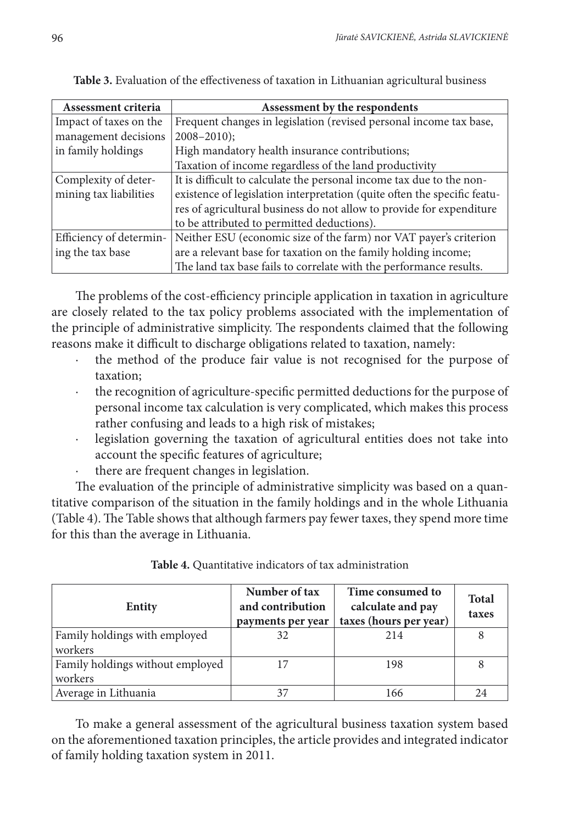| Assessment criteria     | Assessment by the respondents                                            |  |  |  |  |
|-------------------------|--------------------------------------------------------------------------|--|--|--|--|
| Impact of taxes on the  | Frequent changes in legislation (revised personal income tax base,       |  |  |  |  |
| management decisions    | $2008 - 2010$ ;                                                          |  |  |  |  |
| in family holdings      | High mandatory health insurance contributions;                           |  |  |  |  |
|                         | Taxation of income regardless of the land productivity                   |  |  |  |  |
| Complexity of deter-    | It is difficult to calculate the personal income tax due to the non-     |  |  |  |  |
| mining tax liabilities  | existence of legislation interpretation (quite often the specific featu- |  |  |  |  |
|                         | res of agricultural business do not allow to provide for expenditure     |  |  |  |  |
|                         | to be attributed to permitted deductions).                               |  |  |  |  |
| Efficiency of determin- | Neither ESU (economic size of the farm) nor VAT payer's criterion        |  |  |  |  |
| ing the tax base        | are a relevant base for taxation on the family holding income;           |  |  |  |  |
|                         | The land tax base fails to correlate with the performance results.       |  |  |  |  |

**Table 3.** Evaluation of the effectiveness of taxation in Lithuanian agricultural business

The problems of the cost-efficiency principle application in taxation in agriculture are closely related to the tax policy problems associated with the implementation of the principle of administrative simplicity. The respondents claimed that the following reasons make it difficult to discharge obligations related to taxation, namely:

- the method of the produce fair value is not recognised for the purpose of taxation;
- · the recognition of agriculture-specific permitted deductions for the purpose of personal income tax calculation is very complicated, which makes this process rather confusing and leads to a high risk of mistakes;
- legislation governing the taxation of agricultural entities does not take into account the specific features of agriculture;
- there are frequent changes in legislation.

The evaluation of the principle of administrative simplicity was based on a quantitative comparison of the situation in the family holdings and in the whole Lithuania (Table 4). The Table shows that although farmers pay fewer taxes, they spend more time for this than the average in Lithuania.

| Entity                                      | Number of tax<br>and contribution<br>payments per year | Time consumed to<br>calculate and pay<br>taxes (hours per year) | <b>Total</b><br>taxes |
|---------------------------------------------|--------------------------------------------------------|-----------------------------------------------------------------|-----------------------|
| Family holdings with employed<br>workers    | 32                                                     | 214                                                             |                       |
| Family holdings without employed<br>workers |                                                        | 198                                                             |                       |
| Average in Lithuania                        | 37                                                     | 166                                                             | 24                    |

**Table 4.** Quantitative indicators of tax administration

To make a general assessment of the agricultural business taxation system based on the aforementioned taxation principles, the article provides and integrated indicator of family holding taxation system in 2011.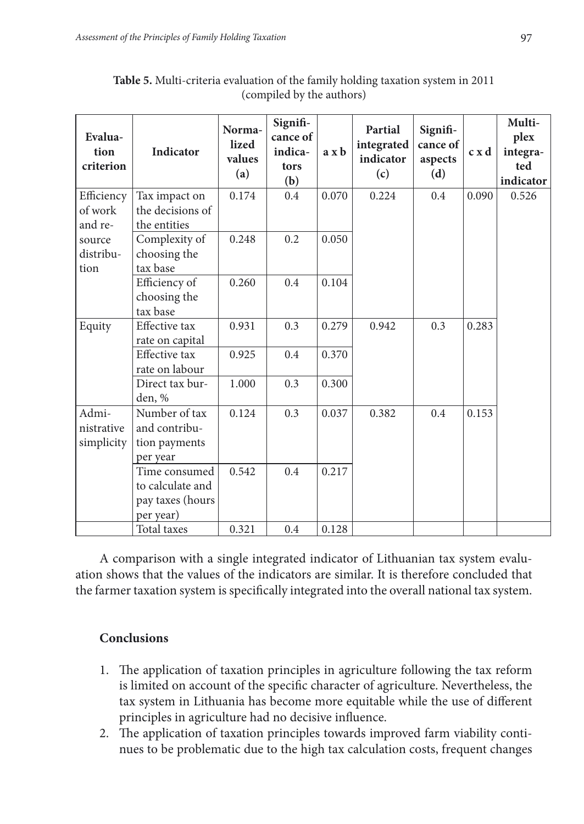| Evalua-<br>tion<br>criterion | <b>Indicator</b> | Norma-<br>lized<br>values<br>(a) | Signifi-<br>cance of<br>indica-<br>tors<br>(b) | $a \times b$ | Partial<br>integrated<br>indicator<br>(c) | Signifi-<br>cance of<br>aspects<br>(d) | c x d | Multi-<br>plex<br>integra-<br>ted<br>indicator |
|------------------------------|------------------|----------------------------------|------------------------------------------------|--------------|-------------------------------------------|----------------------------------------|-------|------------------------------------------------|
| Efficiency                   | Tax impact on    | 0.174                            | 0.4                                            | 0.070        | 0.224                                     | 0.4                                    | 0.090 | 0.526                                          |
| of work                      | the decisions of |                                  |                                                |              |                                           |                                        |       |                                                |
| and re-                      | the entities     |                                  |                                                |              |                                           |                                        |       |                                                |
| source                       | Complexity of    | 0.248                            | 0.2                                            | 0.050        |                                           |                                        |       |                                                |
| distribu-                    | choosing the     |                                  |                                                |              |                                           |                                        |       |                                                |
| tion                         | tax base         |                                  |                                                |              |                                           |                                        |       |                                                |
|                              | Efficiency of    | 0.260                            | 0.4                                            | 0.104        |                                           |                                        |       |                                                |
|                              | choosing the     |                                  |                                                |              |                                           |                                        |       |                                                |
|                              | tax base         |                                  |                                                |              |                                           |                                        |       |                                                |
| Equity                       | Effective tax    | 0.931                            | 0.3                                            | 0.279        | 0.942                                     | 0.3                                    | 0.283 |                                                |
|                              | rate on capital  |                                  |                                                |              |                                           |                                        |       |                                                |
|                              | Effective tax    | 0.925                            | 0.4                                            | 0.370        |                                           |                                        |       |                                                |
|                              | rate on labour   |                                  |                                                |              |                                           |                                        |       |                                                |
|                              | Direct tax bur-  | 1.000                            | 0.3                                            | 0.300        |                                           |                                        |       |                                                |
|                              | den, %           |                                  |                                                |              |                                           |                                        |       |                                                |
| Admi-                        | Number of tax    | 0.124                            | 0.3                                            | 0.037        | 0.382                                     | 0.4                                    | 0.153 |                                                |
| nistrative                   | and contribu-    |                                  |                                                |              |                                           |                                        |       |                                                |
| simplicity                   | tion payments    |                                  |                                                |              |                                           |                                        |       |                                                |
|                              | per year         |                                  |                                                |              |                                           |                                        |       |                                                |
|                              | Time consumed    | 0.542                            | 0.4                                            | 0.217        |                                           |                                        |       |                                                |
|                              | to calculate and |                                  |                                                |              |                                           |                                        |       |                                                |
|                              | pay taxes (hours |                                  |                                                |              |                                           |                                        |       |                                                |
|                              | per year)        |                                  |                                                |              |                                           |                                        |       |                                                |
|                              | Total taxes      | 0.321                            | 0.4                                            | 0.128        |                                           |                                        |       |                                                |

**Table 5.** Multi-criteria evaluation of the family holding taxation system in 2011 (compiled by the authors)

A comparison with a single integrated indicator of Lithuanian tax system evaluation shows that the values of the indicators are similar. It is therefore concluded that the farmer taxation system is specifically integrated into the overall national tax system.

### **Conclusions**

- 1. The application of taxation principles in agriculture following the tax reform is limited on account of the specific character of agriculture. Nevertheless, the tax system in Lithuania has become more equitable while the use of different principles in agriculture had no decisive influence.
- 2. The application of taxation principles towards improved farm viability continues to be problematic due to the high tax calculation costs, frequent changes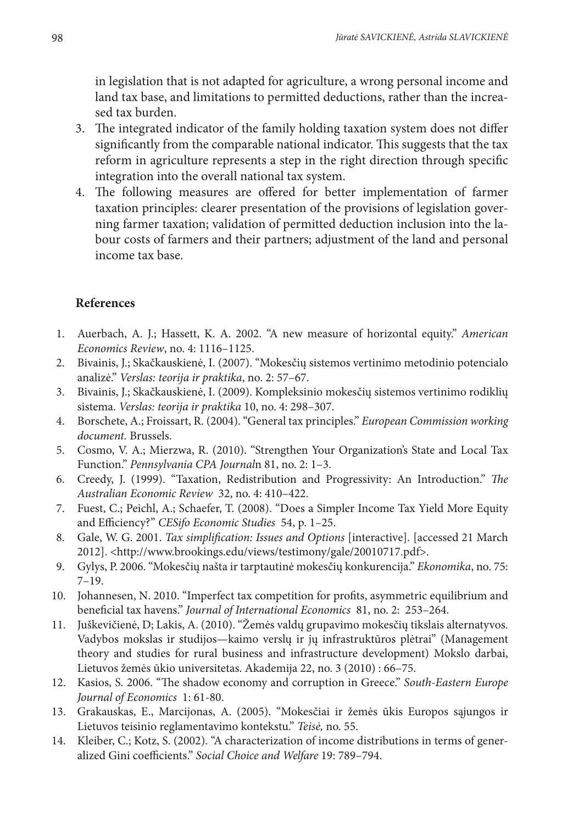in legislation that is not adapted for agriculture, a wrong personal income and land tax base, and limitations to permitted deductions, rather than the increased tax burden.

- 3. The integrated indicator of the family holding taxation system does not differ significantly from the comparable national indicator. This suggests that the tax reform in agriculture represents a step in the right direction through specific integration into the overall national tax system.
- 4. The following measures are offered for better implementation of farmer taxation principles: clearer presentation of the provisions of legislation governing farmer taxation; validation of permitted deduction inclusion into the labour costs of farmers and their partners; adjustment of the land and personal income tax base.

# **References**

- 1. Auerbach, A. J.; Hassett, K. A. 2002. "A new measure of horizontal equity." *American Economics Review*, no. 4: 1116–1125.
- 2. Bivainis, J.; Skačkauskienė, I. (2007). "Mokesčių sistemos vertinimo metodinio potencialo analizė." *Verslas: teorija ir praktika*, no. 2: 57–67.
- 3. Bivainis, J.; Skačkauskienė, I. (2009). Kompleksinio mokesčių sistemos vertinimo rodiklių sistema. *Verslas: teorija ir praktika* 10, no. 4: 298–307.
- 4. Borschete, A.; Froissart, R. (2004). "General tax principles." *European Commission working document.* Brussels.
- 5. Cosmo, V. A.; Mierzwa, R. (2010). "Strengthen Your Organization's State and Local Tax Function." *Pennsylvania CPA Journal*n 81, no. 2: 1–3.
- 6. Creedy, J. (1999). "Taxation, Redistribution and Progressivity: An Introduction." *The Australian Economic Review* 32, no. 4: 410–422.
- 7. Fuest, C.; Peichl, A.; Schaefer, T. (2008). "Does a Simpler Income Tax Yield More Equity and Efficiency?" *CESifo Economic Studies* 54, p. 1–25.
- 8. Gale, W. G. 2001. *Tax simplification: Issues and Options* [interactive]. [accessed 21 March 2012]. <http://www.brookings.edu/views/testimony/gale/20010717.pdf>.
- 9. Gylys, P. 2006. "Mokesčių našta ir tarptautinė mokesčių konkurencija." *Ekonomika*, no. 75: 7–19.
- 10. Johannesen, N. 2010. "Imperfect tax competition for profits, asymmetric equilibrium and beneficial tax havens." *Journal of International Economics* 81, no. 2: 253–264.
- 11. Juškevičienė, D; Lakis, A. (2010). "Žemės valdų grupavimo mokesčių tikslais alternatyvos. Vadybos mokslas ir studijos—kaimo verslų ir jų infrastruktūros plėtrai" (Management theory and studies for rural business and infrastructure development) Mokslo darbai, Lietuvos žemės ūkio universitetas. Akademija 22, no. 3 (2010) : 66–75.
- 12. Kasios, S. 2006. "The shadow economy and corruption in Greece." *South-Eastern Europe Journal of Economics* 1: 61-80.
- 13. Grakauskas, E., Marcijonas, A. (2005). "Mokesčiai ir žemės ūkis Europos sąjungos ir Lietuvos teisinio reglamentavimo kontekstu." *Teisė,* no. 55.
- 14. Kleiber, C.; Kotz, S. (2002). "A characterization of income distributions in terms of generalized Gini coefficients." *Social Choice and Welfare* 19: 789–794.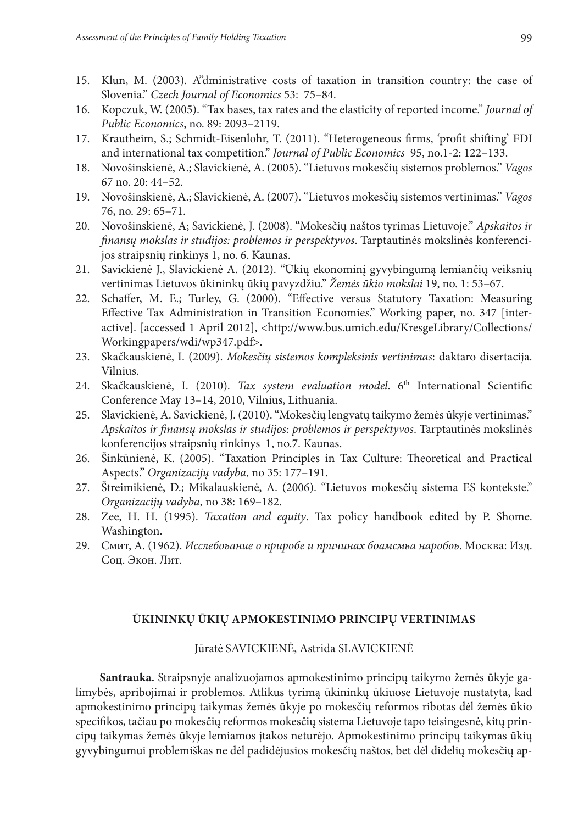- 15. Klun, M. (2003). A"dministrative costs of taxation in transition country: the case of Slovenia." *Czech Journal of Economics* 53: 75–84.
- 16. Kopczuk, W. (2005). "Tax bases, tax rates and the elasticity of reported income." *Journal of Public Economics*, no. 89: 2093–2119.
- 17. Krautheim, S.; Schmidt-Eisenlohr, T. (2011). "Heterogeneous firms, 'profit shifting' FDI and international tax competition." *Journal of Public Economics* 95, no.1-2: 122–133.
- 18. Novošinskienė, A.; Slavickienė, A. (2005). "Lietuvos mokesčių sistemos problemos." *Vagos* 67 no. 20: 44–52.
- 19. Novošinskienė, A.; Slavickienė, A. (2007). "Lietuvos mokesčių sistemos vertinimas." *Vagos* 76, no. 29: 65–71.
- 20. Novošinskienė, A; Savickienė, J. (2008). "Mokesčių naštos tyrimas Lietuvoje." *Apskaitos ir finansų mokslas ir studijos: problemos ir perspektyvos*. Tarptautinės mokslinės konferencijos straipsnių rinkinys 1, no. 6. Kaunas.
- 21. Savickienė J., Slavickienė A. (2012). "Ūkių ekonominį gyvybingumą lemiančių veiksnių vertinimas Lietuvos ūkininkų ūkių pavyzdžiu." *Žemės ūkio mokslai* 19, no. 1: 53–67.
- 22. Schaffer, M. E.; Turley, G. (2000). "Effective versus Statutory Taxation: Measuring Effective Tax Administration in Transition Economie*s*." Working paper, no. 347 [interactive]. [accessed 1 April 2012], <http://www.bus.umich.edu/KresgeLibrary/Collections/ Workingpapers/wdi/wp347.pdf>.
- 23. Skačkauskienė, I. (2009). *Mokesčių sistemos kompleksinis vertinimas*: daktaro disertacija. Vilnius.
- 24. Skačkauskienė, I. (2010). *Tax system evaluation model*. 6th International Scientific Conference May 13–14, 2010, Vilnius, Lithuania.
- 25. Slavickienė, A. Savickienė, J. (2010). "Mokesčių lengvatų taikymo žemės ūkyje vertinimas." *Apskaitos ir finansų mokslas ir studijos: problemos ir perspektyvos*. Tarptautinės mokslinės konferencijos straipsnių rinkinys 1, no.7. Kaunas.
- 26. Šinkūnienė, K. (2005). "Taxation Principles in Tax Culture: Theoretical and Practical Aspects." *Organizacijų vadyba*, no 35: 177–191.
- 27. Štreimikienė, D.; Mikalauskienė, A. (2006). "Lietuvos mokesčių sistema ES kontekste." *Organizacijų vadyba*, no 38: 169–182.
- 28. Zee, H. H. (1995). *Taxation and equity*. Tax policy handbook edited by P. Shome. Washington.
- 29. Смит, A. (1962). *Исслебоьание о приробе и причинах боамсмьа наробоь*. Москва: Изд. Соц. Экон. Лит.

#### **Ūkininkų ūkių apmokestinimo principų vertinimas**

Jūratė SAVICKIENĖ, Astrida SLAVICKIENĖ

**Santrauka.** Straipsnyje analizuojamos apmokestinimo principų taikymo žemės ūkyje galimybės, apribojimai ir problemos. Atlikus tyrimą ūkininkų ūkiuose Lietuvoje nustatyta, kad apmokestinimo principų taikymas žemės ūkyje po mokesčių reformos ribotas dėl žemės ūkio specifikos, tačiau po mokesčių reformos mokesčių sistema Lietuvoje tapo teisingesnė, kitų principų taikymas žemės ūkyje lemiamos įtakos neturėjo. Apmokestinimo principų taikymas ūkių gyvybingumui problemiškas ne dėl padidėjusios mokesčių naštos, bet dėl didelių mokesčių ap